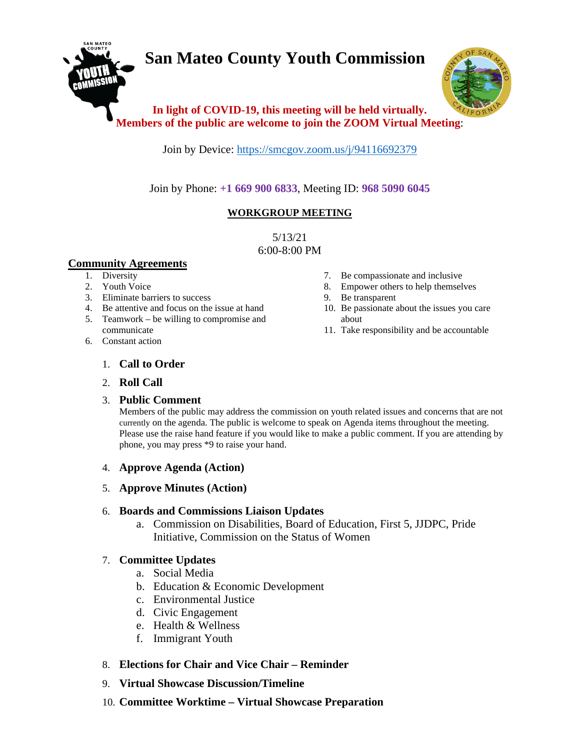# **San Mateo County Youth Commission**



## **In light of COVID-19, this meeting will be held virtually. Members of the public are welcome to join the ZOOM Virtual Meeting**:

Join by Device:<https://smcgov.zoom.us/j/94116692379>

Join by Phone: **+1 669 900 6833**, Meeting ID: **968 5090 6045**

## **WORKGROUP MEETING**

5/13/21 6:00-8:00 PM

#### **Community Agreements**

- 1. Diversity
- 2. Youth Voice
- 3. Eliminate barriers to success
- 4. Be attentive and focus on the issue at hand
- 5. Teamwork be willing to compromise and communicate
- 6. Constant action
- 7. Be compassionate and inclusive
- 8. Empower others to help themselves
- 9. Be transparent
- 10. Be passionate about the issues you care about
- 11. Take responsibility and be accountable

## 1. **Call to Order**

## 2. **Roll Call**

## 3. **Public Comment**

Members of the public may address the commission on youth related issues and concerns that are not currently on the agenda. The public is welcome to speak on Agenda items throughout the meeting. Please use the raise hand feature if you would like to make a public comment. If you are attending by phone, you may press \*9 to raise your hand.

## 4. **Approve Agenda (Action)**

5. **Approve Minutes (Action)**

## 6. **Boards and Commissions Liaison Updates**

a. Commission on Disabilities, Board of Education, First 5, JJDPC, Pride Initiative, Commission on the Status of Women

## 7. **Committee Updates**

- a. Social Media
- b. Education & Economic Development
- c. Environmental Justice
- d. Civic Engagement
- e. Health & Wellness
- f. Immigrant Youth
- 8. **Elections for Chair and Vice Chair – Reminder**
- 9. **Virtual Showcase Discussion/Timeline**
- 10. **Committee Worktime – Virtual Showcase Preparation**